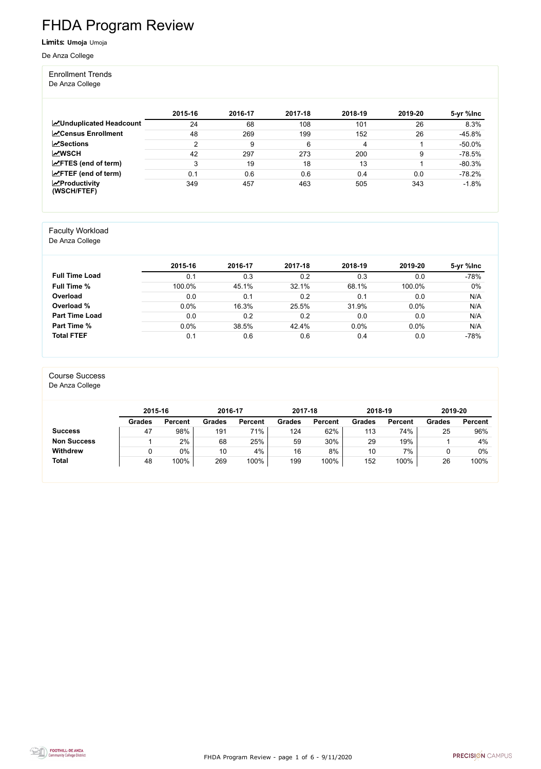FHDA Program Review - page 1 of 6 - 9/11/2020



# FHDA Program Review

#### Limits: **Umoja** Umoja

De Anza College

#### Enrollment Trends

De Anza College

|                                    | 2015-16 | 2016-17 | 2017-18 | 2018-19 | 2019-20 | 5-yr %lnc |
|------------------------------------|---------|---------|---------|---------|---------|-----------|
| <b>ZUnduplicated Headcount</b>     | 24      | 68      | 108     | 101     | 26      | 8.3%      |
| <b>ZCensus Enrollment</b>          | 48      | 269     | 199     | 152     | 26      | $-45.8%$  |
| $\sqrt{S}$ ections                 | າ       | 9       | 6       | 4       |         | $-50.0\%$ |
| <b>MWSCH</b>                       | 42      | 297     | 273     | 200     | 9       | $-78.5%$  |
| $\angle$ FTES (end of term)        | 3       | 19      | 18      | 13      |         | $-80.3%$  |
| $\angle$ FTEF (end of term)        | 0.1     | 0.6     | 0.6     | 0.4     | 0.0     | $-78.2%$  |
| $\chi$ Productivity<br>(WSCH/FTEF) | 349     | 457     | 463     | 505     | 343     | $-1.8%$   |

#### Faculty Workload

De Anza College

|                       | 2015-16 | 2016-17 | 2017-18 | 2018-19 | 2019-20 | 5-yr %lnc |
|-----------------------|---------|---------|---------|---------|---------|-----------|
| <b>Full Time Load</b> | 0.1     | 0.3     | 0.2     | 0.3     | 0.0     | $-78%$    |
| <b>Full Time %</b>    | 100.0%  | 45.1%   | 32.1%   | 68.1%   | 100.0%  | $0\%$     |
| Overload              | 0.0     | 0.1     | 0.2     | 0.1     | 0.0     | N/A       |
| Overload %            | 0.0%    | 16.3%   | 25.5%   | 31.9%   | 0.0%    | N/A       |
| <b>Part Time Load</b> | 0.0     | 0.2     | 0.2     | 0.0     | 0.0     | N/A       |
| <b>Part Time %</b>    | 0.0%    | 38.5%   | 42.4%   | 0.0%    | 0.0%    | N/A       |
| <b>Total FTEF</b>     | 0.1     | 0.6     | 0.6     | 0.4     | 0.0     | $-78%$    |

#### Course Success

De Anza College

|                    | 2015-16       |                | 2016-17       |                | 2017-18       |                | 2018-19       |                | 2019-20       |                |
|--------------------|---------------|----------------|---------------|----------------|---------------|----------------|---------------|----------------|---------------|----------------|
|                    | <b>Grades</b> | <b>Percent</b> | <b>Grades</b> | <b>Percent</b> | <b>Grades</b> | <b>Percent</b> | <b>Grades</b> | <b>Percent</b> | <b>Grades</b> | <b>Percent</b> |
| <b>Success</b>     | 47            | 98%            | 191           | $71\%$         | 124           | 62%            | 113           | 74%            | 25            | 96%            |
| <b>Non Success</b> |               | 2%             | 68            | 25%            | 59            | 30%            | 29            | 19%            |               | 4%             |
| <b>Withdrew</b>    |               | $0\%$          | 10            | 4%             | 16            | 8%             | 10            | 7%             |               | 0%             |
| <b>Total</b>       | 48            | 100%           | 269           | 100%           | 199           | 100%           | 152           | 100%           | 26            | 100%           |

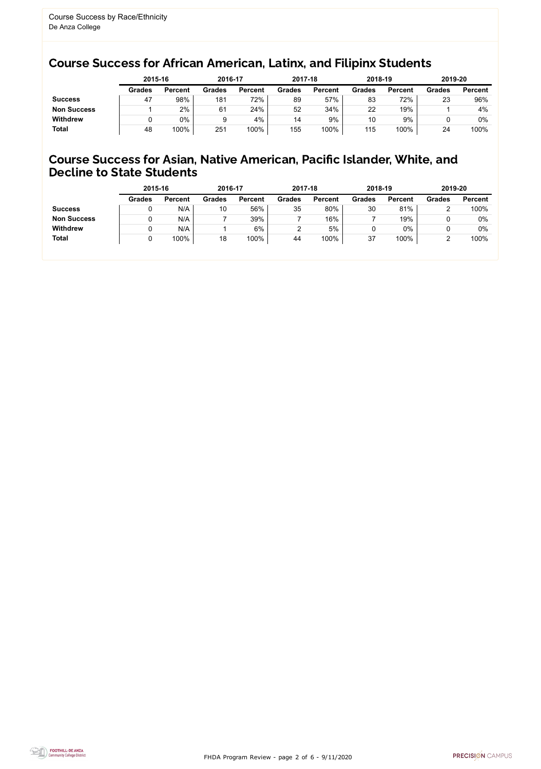FHDA Program Review - page 2 of 6 - 9/11/2020



### Course Success for African American, Latinx, and Filipinx Students

#### Course Success for Asian, Native American, Pacific Islander, White, and Decline to State Students

| 2015-16        |               | 2016-17        |               | 2017-18        |               | 2018-19        | 2019-20       |                |
|----------------|---------------|----------------|---------------|----------------|---------------|----------------|---------------|----------------|
| <b>Percent</b> | <b>Grades</b> | <b>Percent</b> | <b>Grades</b> | <b>Percent</b> | <b>Grades</b> | <b>Percent</b> | <b>Grades</b> | <b>Percent</b> |
| 98%            | 181           | 72%            | 89            | 57%            | 83            | 72%            | 23            | 96%            |
| 2%             | 61            | 24%            | 52            | 34%            | 22            | 19%            |               | 4%             |
| 0%             | 9             | 4%             | 14            | 9%             | 10            | 9%             |               | $0\%$          |
| 100%           | 251           | 100%           | 155           | 100%           | 115           | 100%           | 24            | 100%           |
|                |               |                |               |                |               |                |               |                |

|                    | 2015-16       |                | 2016-17       |                | 2017-18       |                | 2018-19       |                | 2019-20       |                |
|--------------------|---------------|----------------|---------------|----------------|---------------|----------------|---------------|----------------|---------------|----------------|
|                    | <b>Grades</b> | <b>Percent</b> | <b>Grades</b> | <b>Percent</b> | <b>Grades</b> | <b>Percent</b> | <b>Grades</b> | <b>Percent</b> | <b>Grades</b> | <b>Percent</b> |
| <b>Success</b>     |               | N/A            | 10            | 56%            | 35            | 80%            | 30            | 81%            |               | 100%           |
| <b>Non Success</b> |               | N/A            |               | 39%            |               | 16%            |               | 19%            |               | $0\%$          |
| <b>Withdrew</b>    |               | N/A            |               | 6%             |               | 5%             |               | 0%             |               | 0%             |
| <b>Total</b>       |               | 100%           | 18            | 100%           | 44            | 100%           | 37            | 100%           |               | 100%           |
|                    |               |                |               |                |               |                |               |                |               |                |

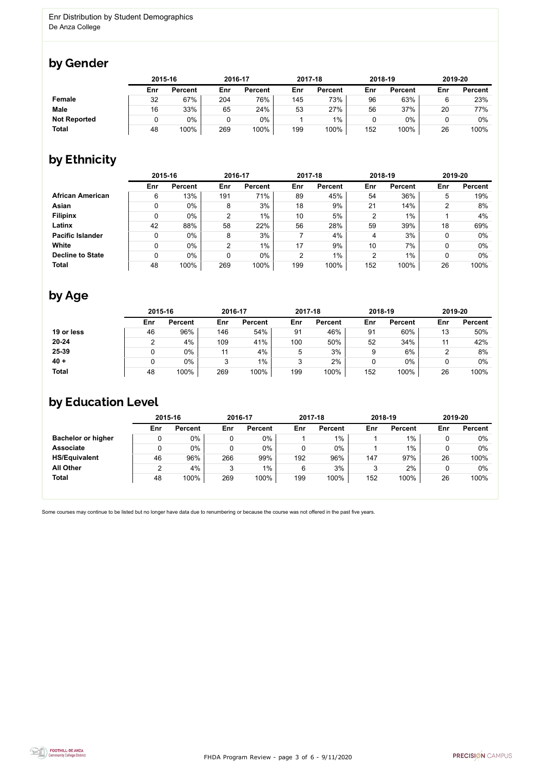FHDA Program Review - page 3 of 6 - 9/11/2020



Some courses may continue to be listed but no longer have data due to renumbering or because the course was not offered in the past five years.



### by Gender

|                     |     | 2015-16        |     | 2016-17        |     | 2017-18        |     | 2018-19        | 2019-20 |                |
|---------------------|-----|----------------|-----|----------------|-----|----------------|-----|----------------|---------|----------------|
|                     | Enr | <b>Percent</b> | Enr | <b>Percent</b> | Enr | <b>Percent</b> | Enr | <b>Percent</b> | Enr     | <b>Percent</b> |
| Female              | 32  | 67%            | 204 | 76%            | 145 | 73%            | 96  | 63%            |         | 23%            |
| <b>Male</b>         | 16  | 33%            | 65  | 24%            | 53  | 27%            | 56  | 37%            | 20      | 77%            |
| <b>Not Reported</b> |     | $0\%$          |     | 0%             |     | $1\%$          |     | 0%             |         | $0\%$          |
| <b>Total</b>        | 48  | 100%           | 269 | 100%           | 199 | 100%           | 152 | 100%           | 26      | 100%           |

## by Ethnicity

|                         | 2015-16 |                |                | 2016-17        |     | 2017-18        |     | 2018-19        | 2019-20 |                |
|-------------------------|---------|----------------|----------------|----------------|-----|----------------|-----|----------------|---------|----------------|
|                         | Enr     | <b>Percent</b> | Enr            | <b>Percent</b> | Enr | <b>Percent</b> | Enr | <b>Percent</b> | Enr     | <b>Percent</b> |
| <b>African American</b> | 6       | 13%            | 191            | 71%            | 89  | 45%            | 54  | 36%            | 5       | 19%            |
| Asian                   |         | $0\%$          | 8              | 3%             | 18  | 9%             | 21  | 14%            | າ       | 8%             |
| <b>Filipinx</b>         |         | $0\%$          | $\overline{2}$ | $1\%$          | 10  | 5%             | 2   | 1%             |         | 4%             |
| Latinx                  | 42      | 88%            | 58             | 22%            | 56  | 28%            | 59  | 39%            | 18      | 69%            |
| <b>Pacific Islander</b> | 0       | $0\%$          | 8              | 3%             |     | 4%             | 4   | 3%             |         | $0\%$          |
| White                   | 0       | $0\%$          | $\overline{2}$ | $1\%$          | 17  | 9%             | 10  | 7%             |         | $0\%$          |
| <b>Decline to State</b> | 0       | $0\%$          | 0              | $0\%$          | 2   | $1\%$          | 2   | 1%             |         | $0\%$          |
| <b>Total</b>            | 48      | 100%           | 269            | 100%           | 199 | 100%           | 152 | 100%           | 26      | 100%           |

## by Age

|              | 2015-16 |                |     | 2016-17        |     | 2017-18        |     | 2018-19        | 2019-20 |                |
|--------------|---------|----------------|-----|----------------|-----|----------------|-----|----------------|---------|----------------|
|              | Enr     | <b>Percent</b> | Enr | <b>Percent</b> | Enr | <b>Percent</b> | Enr | <b>Percent</b> | Enr     | <b>Percent</b> |
| 19 or less   | 46      | 96%            | 146 | 54%            | 91  | 46%            | 91  | 60%            | 13      | 50%            |
| $20 - 24$    |         | 4%             | 109 | 41%            | 100 | 50%            | 52  | 34%            |         | 42%            |
| 25-39        |         | 0%             | 11  | 4%             | 5   | 3%             |     | 6%             |         | 8%             |
| $40 +$       |         | 0%             | ◠   | $1\%$          | 3   | 2%             |     | $0\%$          |         | 0%             |
| <b>Total</b> | 48      | 100%           | 269 | 100%           | 199 | 100%           | 152 | 100%           | 26      | 100%           |

### by Education Level

|                           | 2015-16 |                | 2016-17 |                |     | 2017-18        |     | 2018-19        | 2019-20 |                |
|---------------------------|---------|----------------|---------|----------------|-----|----------------|-----|----------------|---------|----------------|
|                           | Enr     | <b>Percent</b> | Enr     | <b>Percent</b> | Enr | <b>Percent</b> | Enr | <b>Percent</b> | Enr     | <b>Percent</b> |
| <b>Bachelor or higher</b> | U       | 0%             |         | $0\%$          |     | $1\%$          |     | $1\%$          |         | $0\%$          |
| <b>Associate</b>          |         | 0%             |         | $0\%$          |     | $0\%$          |     | 1%             |         | $0\%$          |
| <b>HS/Equivalent</b>      | 46      | 96%            | 266     | 99%            | 192 | 96%            | 147 | 97%            | 26      | 100%           |
| <b>All Other</b>          | 2       | 4%             | 3       | $1\%$          | 6   | 3%             |     | 2%             |         | 0%             |
| <b>Total</b>              | 48      | 100%           | 269     | 100%           | 199 | 100%           | 152 | 100%           | 26      | 100%           |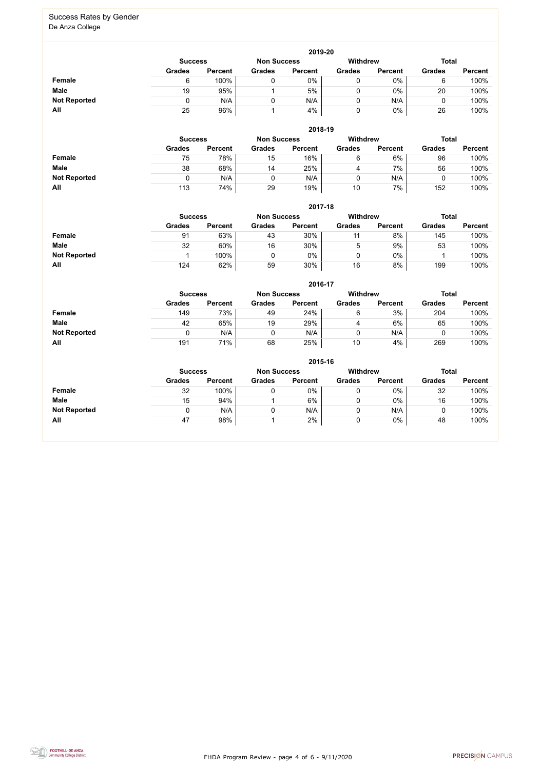FHDA Program Review - page 4 of 6 - 9/11/2020



#### Success Rates by Gender De Anza College

|                     | 2019-20        |                |                    |                |                 |                |               |                |  |  |  |  |  |
|---------------------|----------------|----------------|--------------------|----------------|-----------------|----------------|---------------|----------------|--|--|--|--|--|
|                     | <b>Success</b> |                | <b>Non Success</b> |                | <b>Withdrew</b> |                | <b>Total</b>  |                |  |  |  |  |  |
|                     | <b>Grades</b>  | <b>Percent</b> | <b>Grades</b>      | <b>Percent</b> | <b>Grades</b>   | <b>Percent</b> | <b>Grades</b> | <b>Percent</b> |  |  |  |  |  |
| Female              | 6              | 100%           |                    | 0%             |                 | $0\%$          |               | 100%           |  |  |  |  |  |
| <b>Male</b>         | 19             | 95%            |                    | 5%             |                 | $0\%$          | 20            | 100%           |  |  |  |  |  |
| <b>Not Reported</b> |                | N/A            |                    | N/A            |                 | N/A            |               | 100%           |  |  |  |  |  |
| All                 | 25             | 96%            |                    | 4%             |                 | $0\%$          | 26            | 100%           |  |  |  |  |  |

|                     |                | 2018-19        |                    |                |                 |                |               |                |  |  |  |  |  |  |
|---------------------|----------------|----------------|--------------------|----------------|-----------------|----------------|---------------|----------------|--|--|--|--|--|--|
|                     | <b>Success</b> |                | <b>Non Success</b> |                | <b>Withdrew</b> |                | <b>Total</b>  |                |  |  |  |  |  |  |
|                     | <b>Grades</b>  | <b>Percent</b> | <b>Grades</b>      | <b>Percent</b> | <b>Grades</b>   | <b>Percent</b> | <b>Grades</b> | <b>Percent</b> |  |  |  |  |  |  |
| <b>Female</b>       | 75             | 78%            | 15                 | 16%            | 6               | 6%             | 96            | 100%           |  |  |  |  |  |  |
| <b>Male</b>         | 38             | 68%            | 14                 | 25%            | 4               | 7%             | 56            | 100%           |  |  |  |  |  |  |
| <b>Not Reported</b> | 0              | N/A            |                    | N/A            |                 | N/A            |               | 100%           |  |  |  |  |  |  |
| All                 | 113            | 74%            | 29                 | 19%            | 10              | 7%             | 152           | 100%           |  |  |  |  |  |  |

|                     |                | 2017-18        |                    |                |               |                 |               |                |  |  |  |  |  |  |
|---------------------|----------------|----------------|--------------------|----------------|---------------|-----------------|---------------|----------------|--|--|--|--|--|--|
|                     | <b>Success</b> |                | <b>Non Success</b> |                |               | <b>Withdrew</b> |               | <b>Total</b>   |  |  |  |  |  |  |
|                     | <b>Grades</b>  | <b>Percent</b> | <b>Grades</b>      | <b>Percent</b> | <b>Grades</b> | <b>Percent</b>  | <b>Grades</b> | <b>Percent</b> |  |  |  |  |  |  |
| Female              | 91             | 63%            | 43                 | 30%            | 11            | 8%              | 145           | 100%           |  |  |  |  |  |  |
| <b>Male</b>         | 32             | 60%            | 16                 | 30%            | ხ             | 9%              | 53            | 100%           |  |  |  |  |  |  |
| <b>Not Reported</b> |                | 100%           |                    | $0\%$          |               | $0\%$           |               | 100%           |  |  |  |  |  |  |
| All                 | 124            | 62%            | 59                 | 30%            | 16            | 8%              | 199           | 100%           |  |  |  |  |  |  |

|                     |               | 2016-17                                                 |               |                |               |                |               |                |  |  |  |
|---------------------|---------------|---------------------------------------------------------|---------------|----------------|---------------|----------------|---------------|----------------|--|--|--|
|                     |               | <b>Withdrew</b><br><b>Non Success</b><br><b>Success</b> |               |                |               |                |               |                |  |  |  |
|                     | <b>Grades</b> | <b>Percent</b>                                          | <b>Grades</b> | <b>Percent</b> | <b>Grades</b> | <b>Percent</b> | <b>Grades</b> | <b>Percent</b> |  |  |  |
| <b>Female</b>       | 149           | 73%                                                     | 49            | 24%            | 6             | 3%             | 204           | 100%           |  |  |  |
| <b>Male</b>         | 42            | 65%                                                     | 19            | 29%            | 4             | 6%             | 65            | 100%           |  |  |  |
| <b>Not Reported</b> | 0             | N/A                                                     |               | N/A            | 0             | N/A            |               | 100%           |  |  |  |
| <b>All</b>          | 191           | 71%                                                     | 68            | 25%            | 10            | 4%             | 269           | 100%           |  |  |  |

|                     | 2015-16        |                |                    |                |               |                |               |                |  |
|---------------------|----------------|----------------|--------------------|----------------|---------------|----------------|---------------|----------------|--|
|                     | <b>Success</b> |                | <b>Non Success</b> |                | Withdrew      |                | <b>Total</b>  |                |  |
|                     | <b>Grades</b>  | <b>Percent</b> | <b>Grades</b>      | <b>Percent</b> | <b>Grades</b> | <b>Percent</b> | <b>Grades</b> | <b>Percent</b> |  |
| <b>Female</b>       | 32             | 100%           |                    | 0%             |               | $0\%$          | 32            | 100%           |  |
| <b>Male</b>         | 15             | 94%            |                    | 6%             | 0             | $0\%$          | 16            | 100%           |  |
| <b>Not Reported</b> |                | N/A            | 0                  | N/A            |               | N/A            |               | 100%           |  |
| All                 | 47             | 98%            |                    | 2%             |               | 0%             | 48            | 100%           |  |

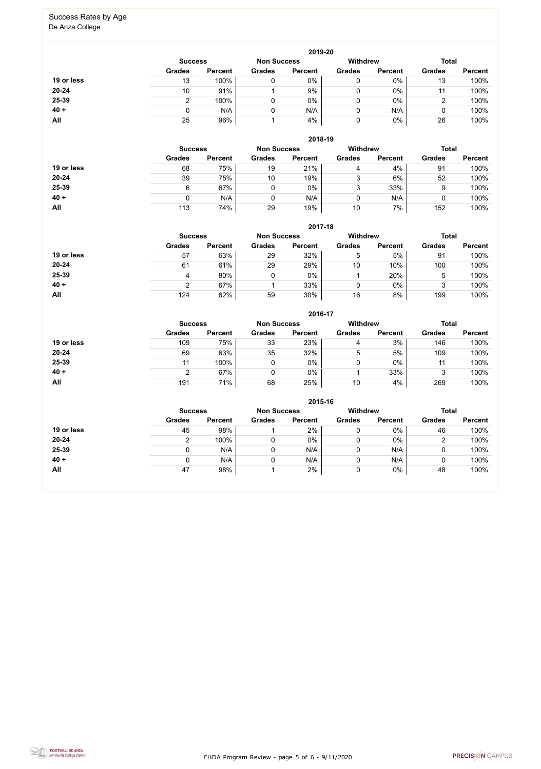FHDA Program Review - page 5 of 6 - 9/11/2020



## Success Rates by Age

De Anza College

|            |                |                    |               | 2019-20         |               |                |               |                |
|------------|----------------|--------------------|---------------|-----------------|---------------|----------------|---------------|----------------|
|            | <b>Success</b> | <b>Non Success</b> |               | <b>Withdrew</b> |               | <b>Total</b>   |               |                |
|            | <b>Grades</b>  | <b>Percent</b>     | <b>Grades</b> | <b>Percent</b>  | <b>Grades</b> | <b>Percent</b> | <b>Grades</b> | <b>Percent</b> |
| 19 or less | 13             | 100%               | 0             | 0%              | 0             | $0\%$          | 13            | 100%           |
| $20 - 24$  | 10             | 91%                |               | 9%              | 0             | $0\%$          | 11            | 100%           |
| 25-39      |                | 100%               | 0             | $0\%$           | 0             | $0\%$          | ົ             | 100%           |
| $40 +$     |                | N/A                | 0             | N/A             | 0             | N/A            | ν             | 100%           |
| All        | 25             | 96%                |               | 4%              | 0             | $0\%$          | 26            | 100%           |

|            |                |                    |               | 2018-19         |               |                |               |                |
|------------|----------------|--------------------|---------------|-----------------|---------------|----------------|---------------|----------------|
|            | <b>Success</b> | <b>Non Success</b> |               | <b>Withdrew</b> |               | <b>Total</b>   |               |                |
|            | <b>Grades</b>  | <b>Percent</b>     | <b>Grades</b> | <b>Percent</b>  | <b>Grades</b> | <b>Percent</b> | <b>Grades</b> | <b>Percent</b> |
| 19 or less | 68             | 75%                | 19            | 21%             | 4             | 4%             | 91            | 100%           |
| $20 - 24$  | 39             | 75%                | 10            | 19%             | っ<br>J        | 6%             | 52            | 100%           |
| 25-39      | 6              | 67%                |               | $0\%$           | ົ<br>J        | 33%            | 9             | 100%           |
| $40 +$     | 0              | N/A                |               | N/A             | 0             | N/A            |               | 100%           |
| All        | 113            | 74%                | 29            | 19%             | 10            | 7%             | 152           | 100%           |

|            |                                                         |                |               | 2017-18        |               |                |               |                |
|------------|---------------------------------------------------------|----------------|---------------|----------------|---------------|----------------|---------------|----------------|
|            | <b>Withdrew</b><br><b>Non Success</b><br><b>Success</b> |                |               |                |               |                |               | <b>Total</b>   |
|            | <b>Grades</b>                                           | <b>Percent</b> | <b>Grades</b> | <b>Percent</b> | <b>Grades</b> | <b>Percent</b> | <b>Grades</b> | <b>Percent</b> |
| 19 or less | 57                                                      | 63%            | 29            | 32%            | 5             | 5%             | 91            | 100%           |
| 20-24      | 61                                                      | 61%            | 29            | 29%            | 10            | 10%            | 100           | 100%           |
| 25-39      | 4                                                       | 80%            | $\mathbf{0}$  | 0%             |               | 20%            | 5             | 100%           |
| $40 +$     | 2                                                       | 67%            |               | 33%            |               | $0\%$          | 3             | 100%           |
| All        | 124                                                     | 62%            | 59            | 30%            | 16            | 8%             | 199           | 100%           |

|            |                                      |                |               | 2016-17        |               |                |               |                |
|------------|--------------------------------------|----------------|---------------|----------------|---------------|----------------|---------------|----------------|
|            | <b>Non Success</b><br><b>Success</b> |                |               |                | Withdrew      |                | <b>Total</b>  |                |
|            | <b>Grades</b>                        | <b>Percent</b> | <b>Grades</b> | <b>Percent</b> | <b>Grades</b> | <b>Percent</b> | <b>Grades</b> | <b>Percent</b> |
| 19 or less | 109                                  | 75%            | 33            | 23%            | 4             | 3%             | 146           | 100%           |
| 20-24      | 69                                   | 63%            | 35            | 32%            | 5             | 5%             | 109           | 100%           |
| 25-39      | 11                                   | 100%           |               | $0\%$          | 0             | $0\%$          | 11            | 100%           |
| $40 +$     |                                      | 67%            |               | 0%             |               | 33%            | 3             | 100%           |
| All        | 191                                  | 71%            | 68            | 25%            | 10            | 4%             | 269           | 100%           |

|            |                                      |                |               | 2015-16        |               |                 |               |                |
|------------|--------------------------------------|----------------|---------------|----------------|---------------|-----------------|---------------|----------------|
|            | <b>Non Success</b><br><b>Success</b> |                |               |                |               | <b>Withdrew</b> | <b>Total</b>  |                |
|            | <b>Grades</b>                        | <b>Percent</b> | <b>Grades</b> | <b>Percent</b> | <b>Grades</b> | <b>Percent</b>  | <b>Grades</b> | <b>Percent</b> |
| 19 or less | 45                                   | 98%            |               | 2%             |               | 0%              | 46            | 100%           |
| 20-24      |                                      | 100%           |               | 0%             |               | 0%              | 2             | 100%           |
| 25-39      | 0                                    | N/A            |               | N/A            |               | N/A             |               | 100%           |
| $40 +$     |                                      | N/A            |               | N/A            |               | N/A             |               | 100%           |
| <b>All</b> | 47                                   | 98%            |               | 2%             |               | 0%              | 48            | 100%           |